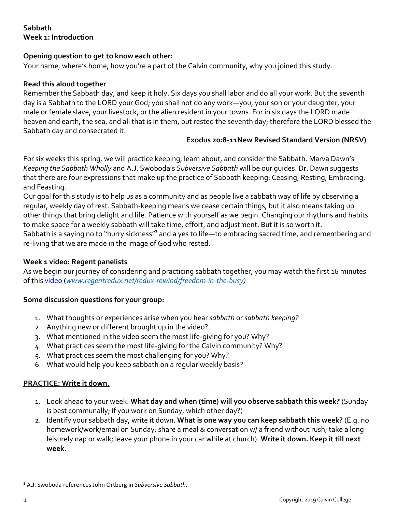# **Sabbath Week 1: Introduction**

## **Opening question to get to know each other:**

Your name, where's home, how you're a part of the Calvin community, why you joined this study.

#### **Read this aloud together**

Remember the Sabbath day, and keep it holy. Six days you shall labor and do all your work. But the seventh day is a Sabbath to the LORD your God; you shall not do any work—you, your son or your daughter, your male or female slave, your livestock, or the alien resident in your towns. For in six days the LORD made heaven and earth, the sea, and all that is in them, but rested the seventh day; therefore the LORD blessed the Sabbath day and consecrated it.

### **Exodus 20:8-11New Revised Standard Version (NRSV)**

For six weeks this spring, we will practice keeping, learn about, and consider the Sabbath. Marva Dawn's *Keeping the Sabbath Wholly* and A.J. Swoboda's *Subversive Sabbath* will be our guides. Dr. Dawn suggests that there are four expressions that make up the practice of Sabbath keeping: Ceasing, Resting, Embracing, and Feasting.

Our goal for this study is to help us as a community and as people live a sabbath way of life by observing a regular, weekly day of rest. Sabbath-keeping means we cease certain things, but it also means taking up other things that bring delight and life. Patience with yourself as we begin. Changing our rhythms and habits to make space for a weekly sabbath will take time, effort, and adjustment. But it is so worth it. Sabbath is a saying no to "hurry sickness"<sup>1</sup> and a yes to life—to embracing sacred time, and remembering and re-living that we are made in the image of God who rested.

## **Week 1 video: Regent panelists**

As we begin our journey of considering and practicing sabbath together, you may watch the first 16 minutes of this video (*www.regentredux.net/redux-rewind/freedom-in-the-busy)*

#### **Some discussion questions for your group:**

- 1. What thoughts or experiences arise when you hear *sabbath* or *sabbath keeping?*
- 2. Anything new or different brought up in the video?
- 3. What mentioned in the video seem the most life-giving for you? Why?
- 4. What practices seem the most life-giving for the Calvin community? Why?
- 5. What practices seem the most challenging for you? Why?
- 6. What would help you keep sabbath on a regular weekly basis?

## **PRACTICE: Write it down.**

- 1. Look ahead to your week. **What day and when (time) will you observe sabbath this week?** (Sunday is best communally; if you work on Sunday, which other day?)
- 2. Identify your sabbath day, write it down. **What is one way you can keep sabbath this week?** (E.g. no homework/work/email on Sunday; share a meal & conversation w/ a friend without rush; take a long leisurely nap or walk; leave your phone in your car while at church). **Write it down. Keep it till next week.**

 <sup>1</sup> A.J. Swoboda references John Ortberg in *Subversive Sabbath*.